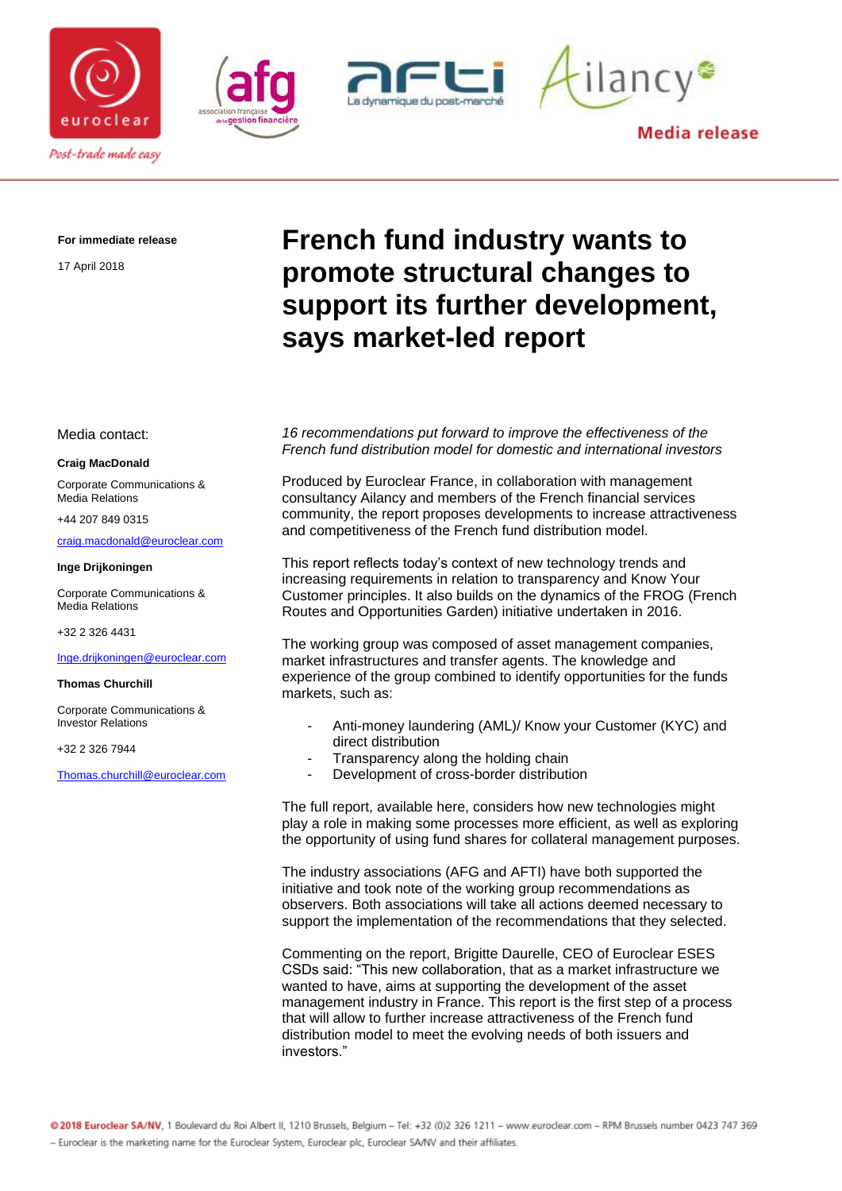







**Media release** 

**For immediate release**

17 April 2018

# **French fund industry wants to promote structural changes to support its further development, says market-led report**

Media contact:

#### **Craig MacDonald**

Corporate Communications & Media Relations

+44 207 849 0315

[craig.macdonald@euroclear.com](mailto:craig.macdonald@euroclear.com)

#### **Inge Drijkoningen**

Corporate Communications & Media Relations

+32 2 326 4431

#### [Inge.drijkoningen@euroclear.com](mailto:Inge.drijkoningen@euroclear.com)

#### **Thomas Churchill**

Corporate Communications & Investor Relations

+32 2 326 7944

[Thomas.churchill@euroclear.com](mailto:Thomas.churchill@euroclear.com)

### *16 recommendations put forward to improve the effectiveness of the French fund distribution model for domestic and international investors*

Produced by Euroclear France, in collaboration with management consultancy Ailancy and members of the French financial services community, the report proposes developments to increase attractiveness and competitiveness of the French fund distribution model.

This report reflects today's context of new technology trends and increasing requirements in relation to transparency and Know Your Customer principles. It also builds on the dynamics of the FROG (French Routes and Opportunities Garden) initiative undertaken in 2016.

The working group was composed of asset management companies, market infrastructures and transfer agents. The knowledge and experience of the group combined to identify opportunities for the funds markets, such as:

- Anti-money laundering (AML)/ Know your Customer (KYC) and direct distribution
- Transparency along the holding chain
- Development of cross-border distribution

The full report, available here, considers how new technologies might play a role in making some processes more efficient, as well as exploring the opportunity of using fund shares for collateral management purposes.

The industry associations (AFG and AFTI) have both supported the initiative and took note of the working group recommendations as observers. Both associations will take all actions deemed necessary to support the implementation of the recommendations that they selected.

Commenting on the report, Brigitte Daurelle, CEO of Euroclear ESES CSDs said: "This new collaboration, that as a market infrastructure we wanted to have, aims at supporting the development of the asset management industry in France. This report is the first step of a process that will allow to further increase attractiveness of the French fund distribution model to meet the evolving needs of both issuers and investors."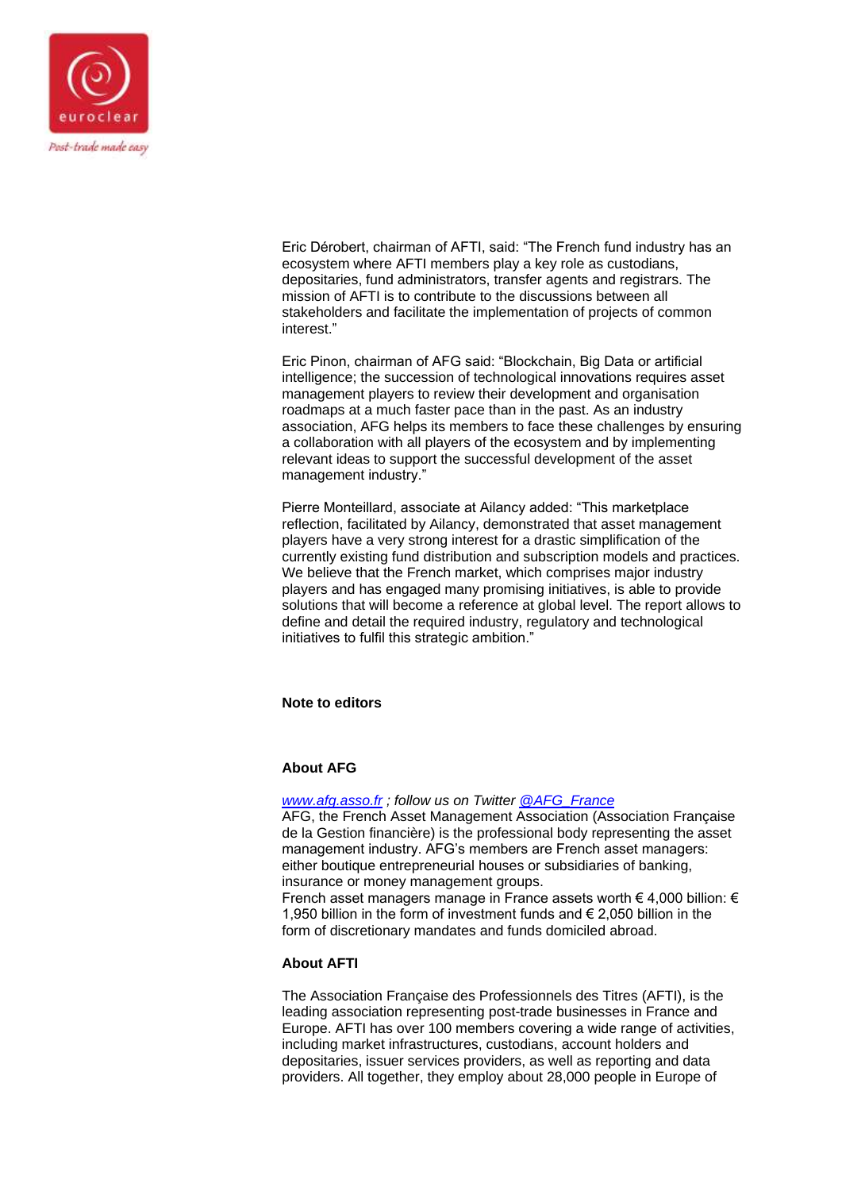

Eric Dérobert, chairman of AFTI, said: "The French fund industry has an ecosystem where AFTI members play a key role as custodians, depositaries, fund administrators, transfer agents and registrars. The mission of AFTI is to contribute to the discussions between all stakeholders and facilitate the implementation of projects of common interest."

Eric Pinon, chairman of AFG said: "Blockchain, Big Data or artificial intelligence; the succession of technological innovations requires asset management players to review their development and organisation roadmaps at a much faster pace than in the past. As an industry association, AFG helps its members to face these challenges by ensuring a collaboration with all players of the ecosystem and by implementing relevant ideas to support the successful development of the asset management industry."

Pierre Monteillard, associate at Ailancy added: "This marketplace reflection, facilitated by Ailancy, demonstrated that asset management players have a very strong interest for a drastic simplification of the currently existing fund distribution and subscription models and practices. We believe that the French market, which comprises major industry players and has engaged many promising initiatives, is able to provide solutions that will become a reference at global level. The report allows to define and detail the required industry, regulatory and technological initiatives to fulfil this strategic ambition."

# **Note to editors**

## **About AFG**

*[www.afg.asso.fr](http://www.afg.asso.fr/) ; follow us on Twitter [@AFG\\_France](https://twitter.com/AFG_France)*

AFG, the French Asset Management Association (Association Française de la Gestion financière) is the professional body representing the asset management industry. AFG's members are French asset managers: either boutique entrepreneurial houses or subsidiaries of banking, insurance or money management groups.

French asset managers manage in France assets worth € 4,000 billion: € 1,950 billion in the form of investment funds and € 2,050 billion in the form of discretionary mandates and funds domiciled abroad.

## **About AFTI**

The Association Française des Professionnels des Titres (AFTI), is the leading association representing post-trade businesses in France and Europe. AFTI has over 100 members covering a wide range of activities, including market infrastructures, custodians, account holders and depositaries, issuer services providers, as well as reporting and data providers. All together, they employ about 28,000 people in Europe of